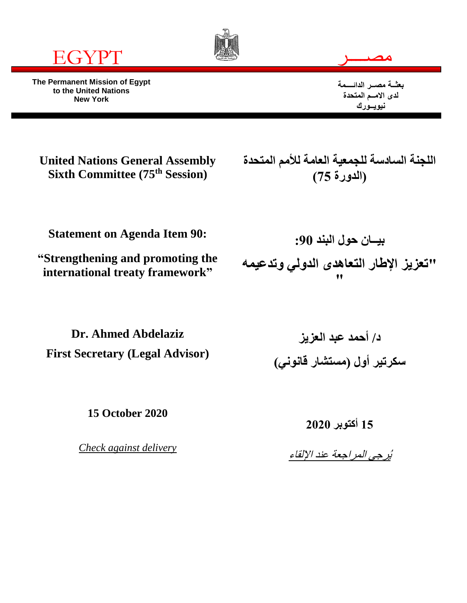

**The Permanent Mission of Egypt to the United Nations New York**





**بعثــة مصــر الدائــــمة لدى االمــم المتحدة نيويــورك**

**United Nations General Assembly Sixth Committee (75th Session)**

**اللجنة السادسة للجمعية العامة لألمم المتحدة )الدورة 75(**

**Statement on Agenda Item 90:**

**"Strengthening and promoting the international treaty framework"**

**بيــان حول البند :90 "تعزيز اإلطار التعاهدى الدولي وتدعيمه "**

**Dr. Ahmed Abdelaziz First Secretary (Legal Advisor)**

**15 October 2020**

*Check against delivery*

**د/ أحمد عبد العزيز سكرتير أول )مستشار قانوني(**

> **15 أكتوبر 2020** يُرجى المراجعة عند اإللقاء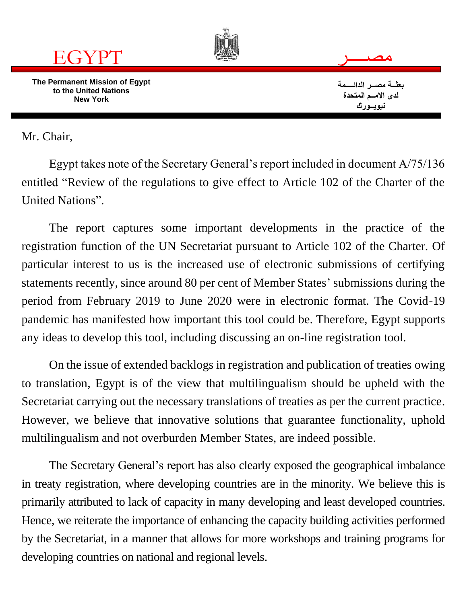

Mr. Chair,

Egypt takes note of the Secretary General's report included in document A/75/136 entitled "Review of the regulations to give effect to Article 102 of the Charter of the United Nations".

The report captures some important developments in the practice of the registration function of the UN Secretariat pursuant to Article 102 of the Charter. Of particular interest to us is the increased use of electronic submissions of certifying statements recently, since around 80 per cent of Member States' submissions during the period from February 2019 to June 2020 were in electronic format. The Covid-19 pandemic has manifested how important this tool could be. Therefore, Egypt supports any ideas to develop this tool, including discussing an on-line registration tool.

On the issue of extended backlogs in registration and publication of treaties owing to translation, Egypt is of the view that multilingualism should be upheld with the Secretariat carrying out the necessary translations of treaties as per the current practice. However, we believe that innovative solutions that guarantee functionality, uphold multilingualism and not overburden Member States, are indeed possible.

The Secretary General's report has also clearly exposed the geographical imbalance in treaty registration, where developing countries are in the minority. We believe this is primarily attributed to lack of capacity in many developing and least developed countries. Hence, we reiterate the importance of enhancing the capacity building activities performed by the Secretariat, in a manner that allows for more workshops and training programs for developing countries on national and regional levels.